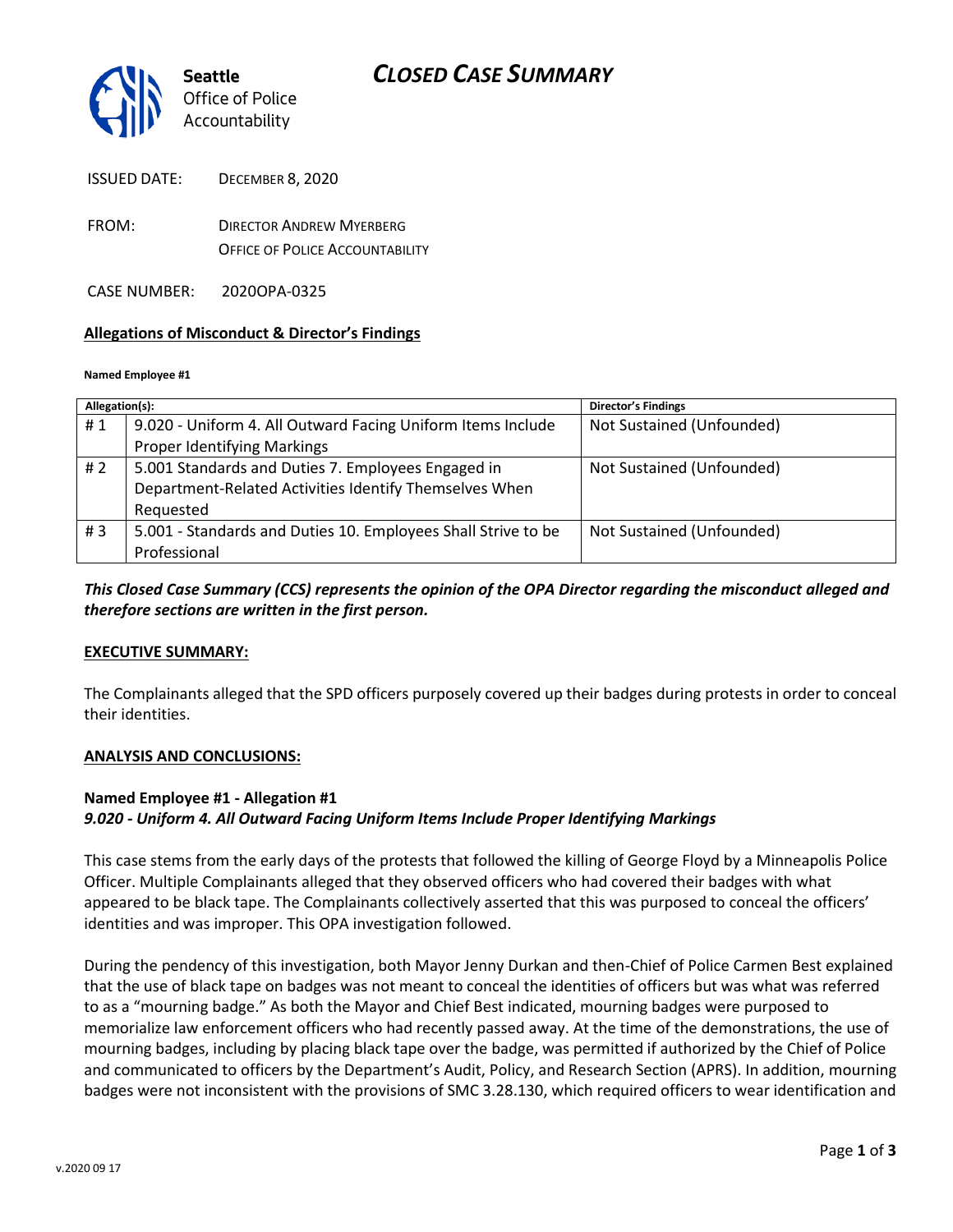

ISSUED DATE: DECEMBER 8, 2020

FROM: DIRECTOR ANDREW MYERBERG OFFICE OF POLICE ACCOUNTABILITY

CASE NUMBER: 2020OPA-0325

### **Allegations of Misconduct & Director's Findings**

#### **Named Employee #1**

| Allegation(s): |                                                               | <b>Director's Findings</b> |
|----------------|---------------------------------------------------------------|----------------------------|
| #1             | 9.020 - Uniform 4. All Outward Facing Uniform Items Include   | Not Sustained (Unfounded)  |
|                | <b>Proper Identifying Markings</b>                            |                            |
| # $2$          | 5.001 Standards and Duties 7. Employees Engaged in            | Not Sustained (Unfounded)  |
|                | Department-Related Activities Identify Themselves When        |                            |
|                | Requested                                                     |                            |
| #3             | 5.001 - Standards and Duties 10. Employees Shall Strive to be | Not Sustained (Unfounded)  |
|                | Professional                                                  |                            |

### *This Closed Case Summary (CCS) represents the opinion of the OPA Director regarding the misconduct alleged and therefore sections are written in the first person.*

### **EXECUTIVE SUMMARY:**

The Complainants alleged that the SPD officers purposely covered up their badges during protests in order to conceal their identities.

### **ANALYSIS AND CONCLUSIONS:**

## **Named Employee #1 - Allegation #1**

*9.020 - Uniform 4. All Outward Facing Uniform Items Include Proper Identifying Markings*

This case stems from the early days of the protests that followed the killing of George Floyd by a Minneapolis Police Officer. Multiple Complainants alleged that they observed officers who had covered their badges with what appeared to be black tape. The Complainants collectively asserted that this was purposed to conceal the officers' identities and was improper. This OPA investigation followed.

During the pendency of this investigation, both Mayor Jenny Durkan and then-Chief of Police Carmen Best explained that the use of black tape on badges was not meant to conceal the identities of officers but was what was referred to as a "mourning badge." As both the Mayor and Chief Best indicated, mourning badges were purposed to memorialize law enforcement officers who had recently passed away. At the time of the demonstrations, the use of mourning badges, including by placing black tape over the badge, was permitted if authorized by the Chief of Police and communicated to officers by the Department's Audit, Policy, and Research Section (APRS). In addition, mourning badges were not inconsistent with the provisions of SMC 3.28.130, which required officers to wear identification and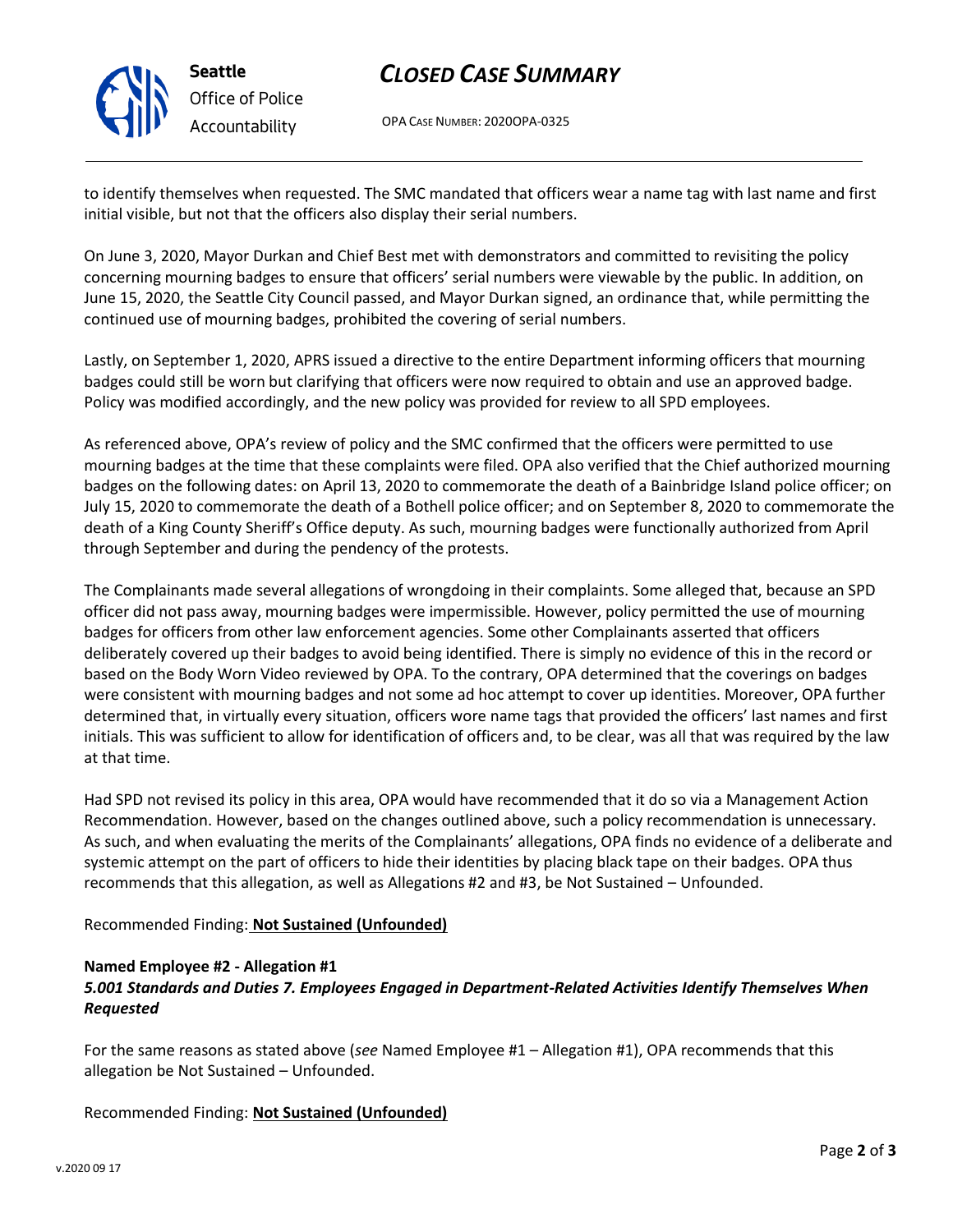

**Seattle** *Office of Police Accountability*

# *CLOSED CASE SUMMARY*

OPA CASE NUMBER: 2020OPA-0325

to identify themselves when requested. The SMC mandated that officers wear a name tag with last name and first initial visible, but not that the officers also display their serial numbers.

On June 3, 2020, Mayor Durkan and Chief Best met with demonstrators and committed to revisiting the policy concerning mourning badges to ensure that officers' serial numbers were viewable by the public. In addition, on June 15, 2020, the Seattle City Council passed, and Mayor Durkan signed, an ordinance that, while permitting the continued use of mourning badges, prohibited the covering of serial numbers.

Lastly, on September 1, 2020, APRS issued a directive to the entire Department informing officers that mourning badges could still be worn but clarifying that officers were now required to obtain and use an approved badge. Policy was modified accordingly, and the new policy was provided for review to all SPD employees.

As referenced above, OPA's review of policy and the SMC confirmed that the officers were permitted to use mourning badges at the time that these complaints were filed. OPA also verified that the Chief authorized mourning badges on the following dates: on April 13, 2020 to commemorate the death of a Bainbridge Island police officer; on July 15, 2020 to commemorate the death of a Bothell police officer; and on September 8, 2020 to commemorate the death of a King County Sheriff's Office deputy. As such, mourning badges were functionally authorized from April through September and during the pendency of the protests.

The Complainants made several allegations of wrongdoing in their complaints. Some alleged that, because an SPD officer did not pass away, mourning badges were impermissible. However, policy permitted the use of mourning badges for officers from other law enforcement agencies. Some other Complainants asserted that officers deliberately covered up their badges to avoid being identified. There is simply no evidence of this in the record or based on the Body Worn Video reviewed by OPA. To the contrary, OPA determined that the coverings on badges were consistent with mourning badges and not some ad hoc attempt to cover up identities. Moreover, OPA further determined that, in virtually every situation, officers wore name tags that provided the officers' last names and first initials. This was sufficient to allow for identification of officers and, to be clear, was all that was required by the law at that time.

Had SPD not revised its policy in this area, OPA would have recommended that it do so via a Management Action Recommendation. However, based on the changes outlined above, such a policy recommendation is unnecessary. As such, and when evaluating the merits of the Complainants' allegations, OPA finds no evidence of a deliberate and systemic attempt on the part of officers to hide their identities by placing black tape on their badges. OPA thus recommends that this allegation, as well as Allegations #2 and #3, be Not Sustained – Unfounded.

## Recommended Finding: **Not Sustained (Unfounded)**

## **Named Employee #2 - Allegation #1**

## *5.001 Standards and Duties 7. Employees Engaged in Department-Related Activities Identify Themselves When Requested*

For the same reasons as stated above (*see* Named Employee #1 – Allegation #1), OPA recommends that this allegation be Not Sustained – Unfounded.

Recommended Finding: **Not Sustained (Unfounded)**